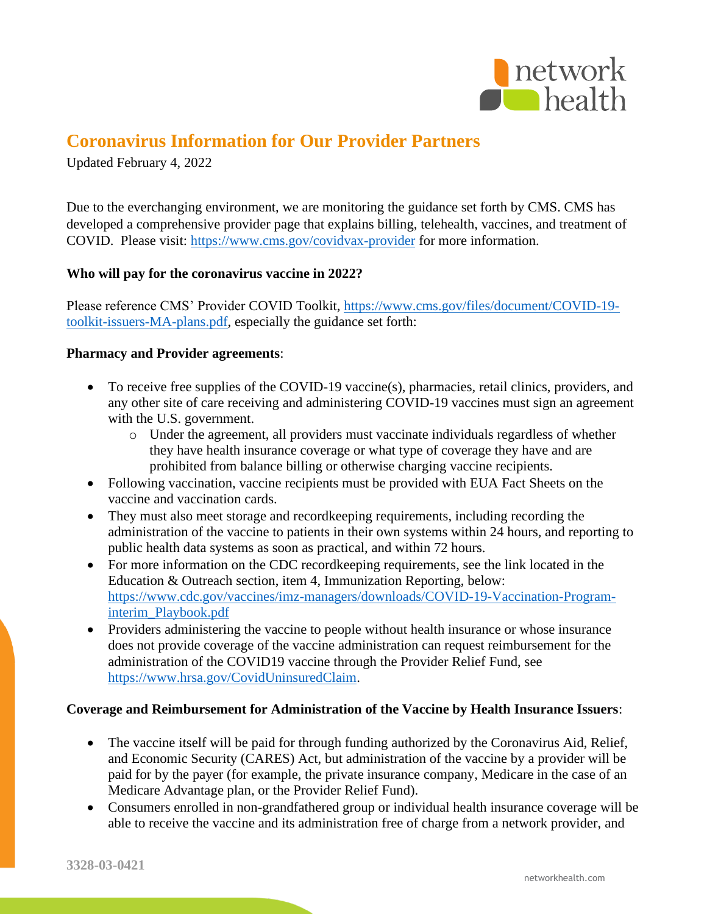

# **Coronavirus Information for Our Provider Partners**

Updated February 4, 2022

Due to the everchanging environment, we are monitoring the guidance set forth by CMS. CMS has developed a comprehensive provider page that explains billing, telehealth, vaccines, and treatment of COVID. Please visit:<https://www.cms.gov/covidvax-provider> for more information.

## **Who will pay for the coronavirus vaccine in 2022?**

Please reference CMS' Provider COVID Toolkit, [https://www.cms.gov/files/document/COVID-19](https://www.cms.gov/files/document/COVID-19-toolkit-issuers-MA-plans.pdf) [toolkit-issuers-MA-plans.pdf,](https://www.cms.gov/files/document/COVID-19-toolkit-issuers-MA-plans.pdf) especially the guidance set forth:

### **Pharmacy and Provider agreements**:

- To receive free supplies of the COVID-19 vaccine(s), pharmacies, retail clinics, providers, and any other site of care receiving and administering COVID-19 vaccines must sign an agreement with the U.S. government.
	- o Under the agreement, all providers must vaccinate individuals regardless of whether they have health insurance coverage or what type of coverage they have and are prohibited from balance billing or otherwise charging vaccine recipients.
- Following vaccination, vaccine recipients must be provided with EUA Fact Sheets on the vaccine and vaccination cards.
- They must also meet storage and recordkeeping requirements, including recording the administration of the vaccine to patients in their own systems within 24 hours, and reporting to public health data systems as soon as practical, and within 72 hours.
- For more information on the CDC recordkeeping requirements, see the link located in the Education & Outreach section, item 4, Immunization Reporting, below: [https://www.cdc.gov/vaccines/imz-managers/downloads/COVID-19-Vaccination-Program](https://www.cdc.gov/vaccines/imz-managers/downloads/COVID-19-Vaccination-Program-interim_Playbook.pdf)[interim\\_Playbook.pdf](https://www.cdc.gov/vaccines/imz-managers/downloads/COVID-19-Vaccination-Program-interim_Playbook.pdf)
- Providers administering the vaccine to people without health insurance or whose insurance does not provide coverage of the vaccine administration can request reimbursement for the administration of the COVID19 vaccine through the Provider Relief Fund, see [https://www.hrsa.gov/CovidUninsuredClaim.](https://www.hrsa.gov/CovidUninsuredClaim)

### **Coverage and Reimbursement for Administration of the Vaccine by Health Insurance Issuers**:

- The vaccine itself will be paid for through funding authorized by the Coronavirus Aid, Relief, and Economic Security (CARES) Act, but administration of the vaccine by a provider will be paid for by the payer (for example, the private insurance company, Medicare in the case of an Medicare Advantage plan, or the Provider Relief Fund).
- Consumers enrolled in non-grandfathered group or individual health insurance coverage will be able to receive the vaccine and its administration free of charge from a network provider, and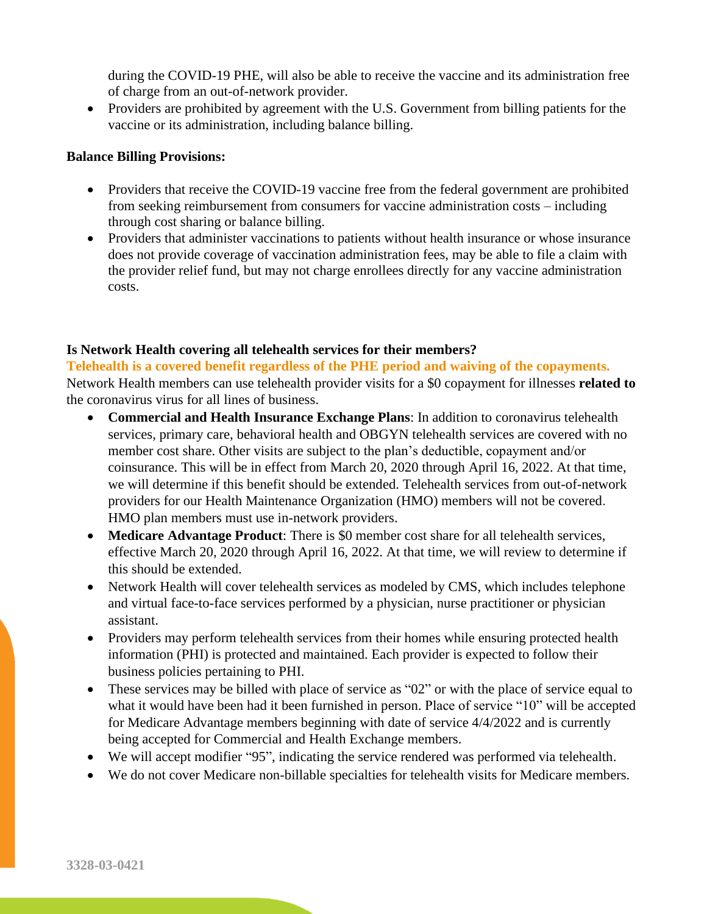during the COVID-19 PHE, will also be able to receive the vaccine and its administration free of charge from an out-of-network provider.

• Providers are prohibited by agreement with the U.S. Government from billing patients for the vaccine or its administration, including balance billing.

#### **Balance Billing Provisions:**

- Providers that receive the COVID-19 vaccine free from the federal government are prohibited from seeking reimbursement from consumers for vaccine administration costs – including through cost sharing or balance billing.
- Providers that administer vaccinations to patients without health insurance or whose insurance does not provide coverage of vaccination administration fees, may be able to file a claim with the provider relief fund, but may not charge enrollees directly for any vaccine administration costs.

### **Is Network Health covering all telehealth services for their members?**

**Telehealth is a covered benefit regardless of the PHE period and waiving of the copayments.** Network Health members can use telehealth provider visits for a \$0 copayment for illnesses **related to** the coronavirus virus for all lines of business.

- **Commercial and Health Insurance Exchange Plans**: In addition to coronavirus telehealth services, primary care, behavioral health and OBGYN telehealth services are covered with no member cost share. Other visits are subject to the plan's deductible, copayment and/or coinsurance. This will be in effect from March 20, 2020 through April 16, 2022. At that time, we will determine if this benefit should be extended. Telehealth services from out-of-network providers for our Health Maintenance Organization (HMO) members will not be covered. HMO plan members must use in-network providers.
- **Medicare Advantage Product**: There is \$0 member cost share for all telehealth services, effective March 20, 2020 through April 16, 2022. At that time, we will review to determine if this should be extended.
- Network Health will cover telehealth services as modeled by CMS, which includes telephone and virtual face-to-face services performed by a physician, nurse practitioner or physician assistant.
- Providers may perform telehealth services from their homes while ensuring protected health information (PHI) is protected and maintained. Each provider is expected to follow their business policies pertaining to PHI.
- These services may be billed with place of service as "02" or with the place of service equal to what it would have been had it been furnished in person. Place of service "10" will be accepted for Medicare Advantage members beginning with date of service 4/4/2022 and is currently being accepted for Commercial and Health Exchange members.
- We will accept modifier "95", indicating the service rendered was performed via telehealth.
- We do not cover Medicare non-billable specialties for telehealth visits for Medicare members.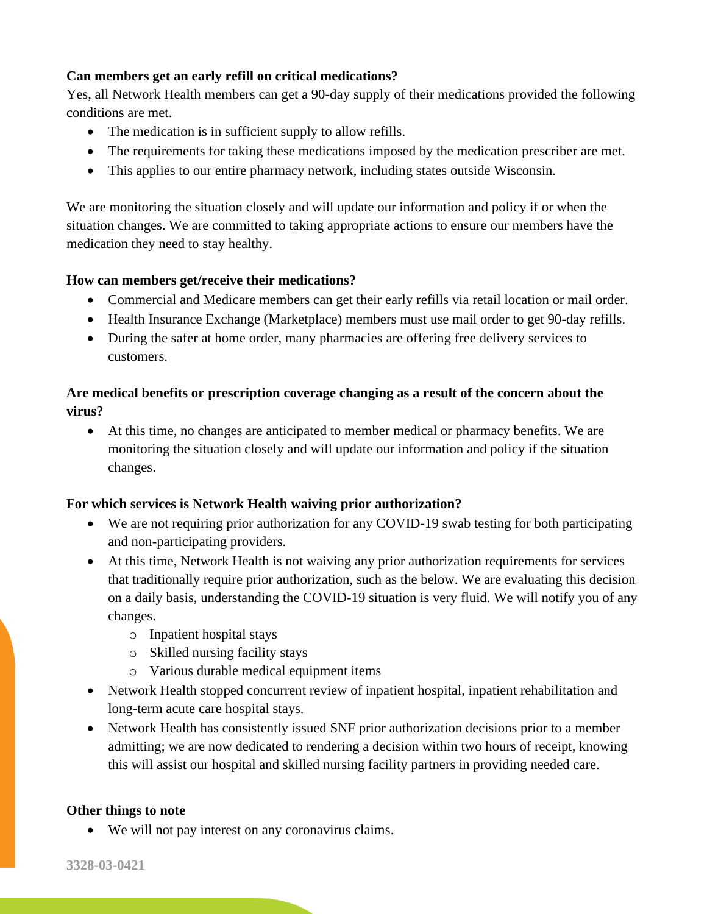# **Can members get an early refill on critical medications?**

Yes, all Network Health members can get a 90-day supply of their medications provided the following conditions are met.

- The medication is in sufficient supply to allow refills.
- The requirements for taking these medications imposed by the medication prescriber are met.
- This applies to our entire pharmacy network, including states outside Wisconsin.

We are monitoring the situation closely and will update our information and policy if or when the situation changes. We are committed to taking appropriate actions to ensure our members have the medication they need to stay healthy.

## **How can members get/receive their medications?**

- Commercial and Medicare members can get their early refills via retail location or mail order.
- Health Insurance Exchange (Marketplace) members must use mail order to get 90-day refills.
- During the safer at home order, many pharmacies are offering free delivery services to customers.

# **Are medical benefits or prescription coverage changing as a result of the concern about the virus?**

• At this time, no changes are anticipated to member medical or pharmacy benefits. We are monitoring the situation closely and will update our information and policy if the situation changes.

# **For which services is Network Health waiving prior authorization?**

- We are not requiring prior authorization for any COVID-19 swab testing for both participating and non-participating providers.
- At this time, Network Health is not waiving any prior authorization requirements for services that traditionally require prior authorization, such as the below. We are evaluating this decision on a daily basis, understanding the COVID-19 situation is very fluid. We will notify you of any changes.
	- o Inpatient hospital stays
	- o Skilled nursing facility stays
	- o Various durable medical equipment items
- Network Health stopped concurrent review of inpatient hospital, inpatient rehabilitation and long-term acute care hospital stays.
- Network Health has consistently issued SNF prior authorization decisions prior to a member admitting; we are now dedicated to rendering a decision within two hours of receipt, knowing this will assist our hospital and skilled nursing facility partners in providing needed care.

### **Other things to note**

• We will not pay interest on any coronavirus claims.